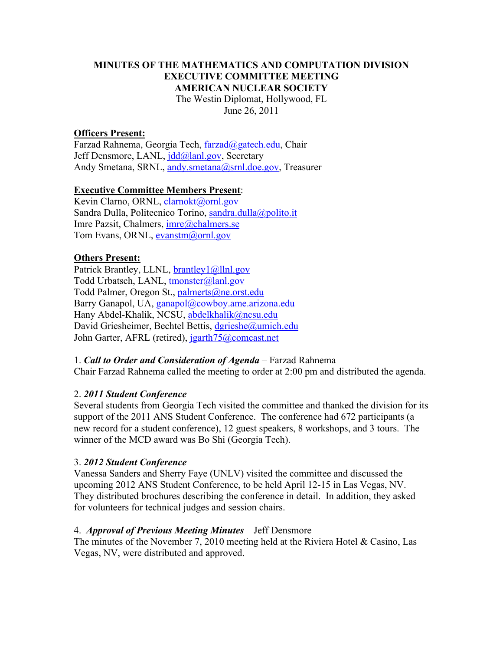## **MINUTES OF THE MATHEMATICS AND COMPUTATION DIVISION EXECUTIVE COMMITTEE MEETING AMERICAN NUCLEAR SOCIETY** The Westin Diplomat, Hollywood, FL June 26, 2011

# **Officers Present:**

Farzad Rahnema, Georgia Tech, farzad@gatech.edu, Chair Jeff Densmore, LANL, jdd@lanl.gov, Secretary Andy Smetana, SRNL, andy.smetana@srnl.doe.gov, Treasurer

#### **Executive Committee Members Present**:

Kevin Clarno, ORNL, clarnokt@ornl.gov Sandra Dulla, Politecnico Torino, sandra.dulla@polito.it Imre Pazsit, Chalmers, imre@chalmers.se Tom Evans, ORNL, evanstm@ornl.gov

#### **Others Present:**

Patrick Brantley, LLNL, **brantley** 1@llnl.gov Todd Urbatsch, LANL, tmonster@lanl.gov Todd Palmer, Oregon St., palmerts@ne.orst.edu Barry Ganapol, UA, ganapol@cowboy.ame.arizona.edu Hany Abdel-Khalik, NCSU, abdelkhalik@ncsu.edu David Griesheimer, Bechtel Bettis, dgrieshe@umich.edu John Garter, AFRL (retired), jgarth75@comcast.net

1. *Call to Order and Consideration of Agenda* – Farzad Rahnema Chair Farzad Rahnema called the meeting to order at 2:00 pm and distributed the agenda.

## 2. *2011 Student Conference*

Several students from Georgia Tech visited the committee and thanked the division for its support of the 2011 ANS Student Conference. The conference had 672 participants (a new record for a student conference), 12 guest speakers, 8 workshops, and 3 tours. The winner of the MCD award was Bo Shi (Georgia Tech).

#### 3. *2012 Student Conference*

Vanessa Sanders and Sherry Faye (UNLV) visited the committee and discussed the upcoming 2012 ANS Student Conference, to be held April 12-15 in Las Vegas, NV. They distributed brochures describing the conference in detail. In addition, they asked for volunteers for technical judges and session chairs.

#### 4. *Approval of Previous Meeting Minutes* – Jeff Densmore

The minutes of the November 7, 2010 meeting held at the Riviera Hotel & Casino, Las Vegas, NV, were distributed and approved.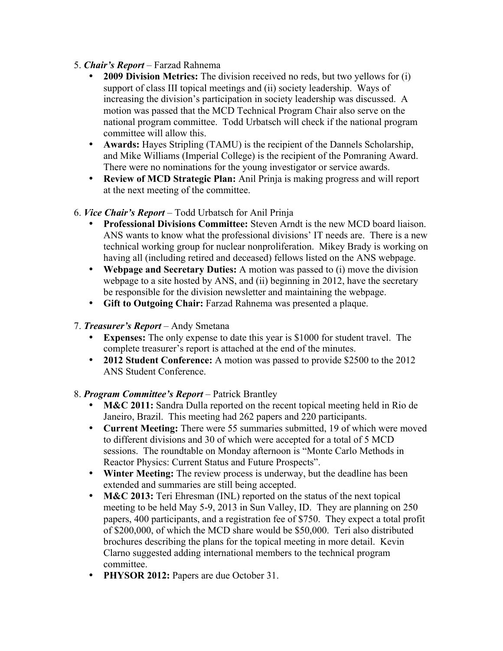# 5. *Chair's Report* – Farzad Rahnema

- **2009 Division Metrics:** The division received no reds, but two yellows for (i) support of class III topical meetings and (ii) society leadership. Ways of increasing the division's participation in society leadership was discussed. A motion was passed that the MCD Technical Program Chair also serve on the national program committee. Todd Urbatsch will check if the national program committee will allow this.
- **Awards:** Hayes Stripling (TAMU) is the recipient of the Dannels Scholarship, and Mike Williams (Imperial College) is the recipient of the Pomraning Award. There were no nominations for the young investigator or service awards.
- **Review of MCD Strategic Plan:** Anil Prinja is making progress and will report at the next meeting of the committee.

# 6. *Vice Chair's Report* – Todd Urbatsch for Anil Prinja

- **Professional Divisions Committee:** Steven Arndt is the new MCD board liaison. ANS wants to know what the professional divisions' IT needs are. There is a new technical working group for nuclear nonproliferation. Mikey Brady is working on having all (including retired and deceased) fellows listed on the ANS webpage.
- **Webpage and Secretary Duties:** A motion was passed to (i) move the division webpage to a site hosted by ANS, and (ii) beginning in 2012, have the secretary be responsible for the division newsletter and maintaining the webpage.
- **Gift to Outgoing Chair:** Farzad Rahnema was presented a plaque.
- 7. *Treasurer's Report* Andy Smetana
	- **Expenses:** The only expense to date this year is \$1000 for student travel. The complete treasurer's report is attached at the end of the minutes.
	- **2012 Student Conference:** A motion was passed to provide \$2500 to the 2012 ANS Student Conference.
- 8. *Program Committee's Report* Patrick Brantley
	- **M&C 2011:** Sandra Dulla reported on the recent topical meeting held in Rio de Janeiro, Brazil. This meeting had 262 papers and 220 participants.
	- **Current Meeting:** There were 55 summaries submitted, 19 of which were moved to different divisions and 30 of which were accepted for a total of 5 MCD sessions. The roundtable on Monday afternoon is "Monte Carlo Methods in Reactor Physics: Current Status and Future Prospects".
	- **Winter Meeting:** The review process is underway, but the deadline has been extended and summaries are still being accepted.
	- **M&C 2013:** Teri Ehresman (INL) reported on the status of the next topical meeting to be held May 5-9, 2013 in Sun Valley, ID. They are planning on 250 papers, 400 participants, and a registration fee of \$750. They expect a total profit of \$200,000, of which the MCD share would be \$50,000. Teri also distributed brochures describing the plans for the topical meeting in more detail. Kevin Clarno suggested adding international members to the technical program committee.
	- **PHYSOR 2012:** Papers are due October 31.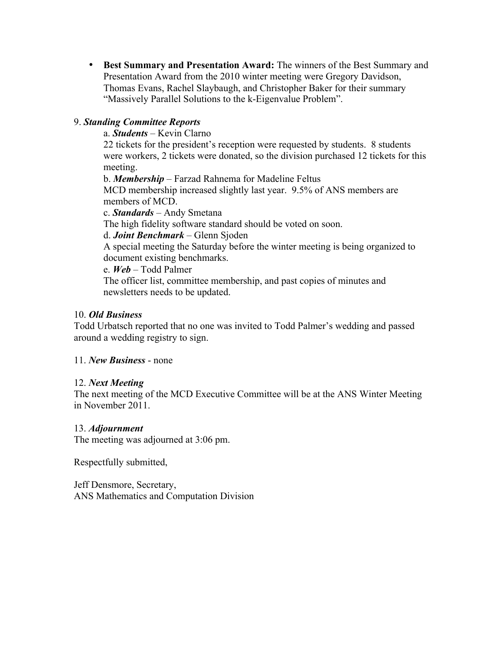• **Best Summary and Presentation Award:** The winners of the Best Summary and Presentation Award from the 2010 winter meeting were Gregory Davidson, Thomas Evans, Rachel Slaybaugh, and Christopher Baker for their summary "Massively Parallel Solutions to the k-Eigenvalue Problem".

# 9. *Standing Committee Reports*

a. *Students* – Kevin Clarno

22 tickets for the president's reception were requested by students. 8 students were workers, 2 tickets were donated, so the division purchased 12 tickets for this meeting.

b. *Membership* – Farzad Rahnema for Madeline Feltus

MCD membership increased slightly last year. 9.5% of ANS members are members of MCD.

c. *Standards* – Andy Smetana

The high fidelity software standard should be voted on soon.

d. *Joint Benchmark* – Glenn Sjoden

A special meeting the Saturday before the winter meeting is being organized to document existing benchmarks.

e. *Web* – Todd Palmer

The officer list, committee membership, and past copies of minutes and newsletters needs to be updated.

# 10. *Old Business*

Todd Urbatsch reported that no one was invited to Todd Palmer's wedding and passed around a wedding registry to sign.

11. *New Business* - none

# 12. *Next Meeting*

The next meeting of the MCD Executive Committee will be at the ANS Winter Meeting in November 2011.

## 13. *Adjournment*

The meeting was adjourned at 3:06 pm.

Respectfully submitted,

Jeff Densmore, Secretary, ANS Mathematics and Computation Division